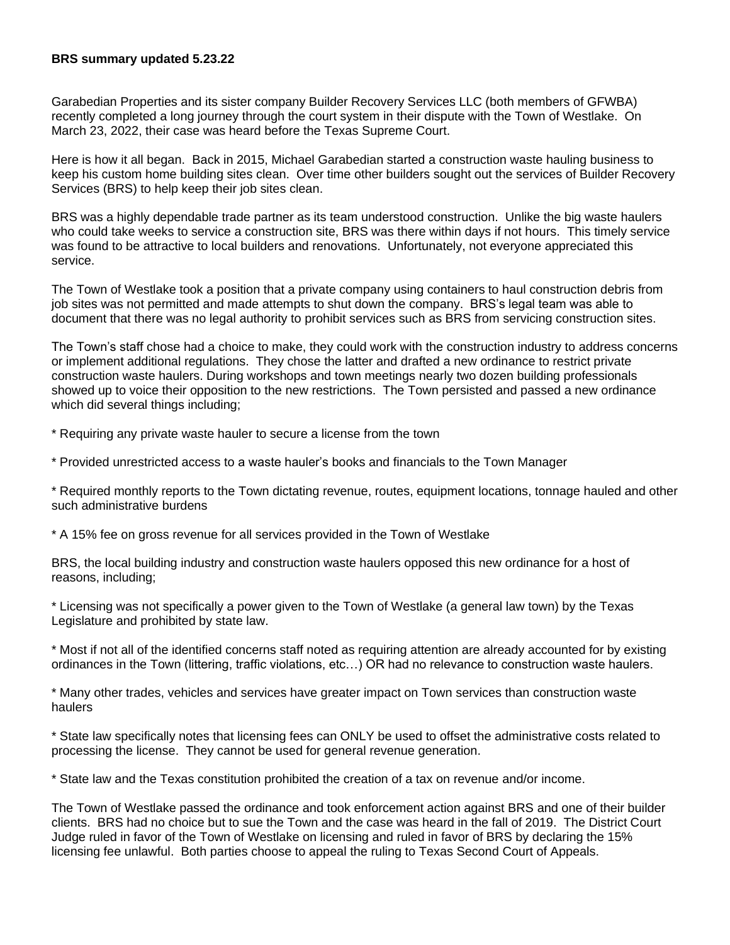## **BRS summary updated 5.23.22**

Garabedian Properties and its sister company Builder Recovery Services LLC (both members of GFWBA) recently completed a long journey through the court system in their dispute with the Town of Westlake. On March 23, 2022, their case was heard before the Texas Supreme Court.

Here is how it all began. Back in 2015, Michael Garabedian started a construction waste hauling business to keep his custom home building sites clean. Over time other builders sought out the services of Builder Recovery Services (BRS) to help keep their job sites clean.

BRS was a highly dependable trade partner as its team understood construction. Unlike the big waste haulers who could take weeks to service a construction site, BRS was there within days if not hours. This timely service was found to be attractive to local builders and renovations. Unfortunately, not everyone appreciated this service.

The Town of Westlake took a position that a private company using containers to haul construction debris from job sites was not permitted and made attempts to shut down the company. BRS's legal team was able to document that there was no legal authority to prohibit services such as BRS from servicing construction sites.

The Town's staff chose had a choice to make, they could work with the construction industry to address concerns or implement additional regulations. They chose the latter and drafted a new ordinance to restrict private construction waste haulers. During workshops and town meetings nearly two dozen building professionals showed up to voice their opposition to the new restrictions. The Town persisted and passed a new ordinance which did several things including;

\* Requiring any private waste hauler to secure a license from the town

\* Provided unrestricted access to a waste hauler's books and financials to the Town Manager

\* Required monthly reports to the Town dictating revenue, routes, equipment locations, tonnage hauled and other such administrative burdens

\* A 15% fee on gross revenue for all services provided in the Town of Westlake

BRS, the local building industry and construction waste haulers opposed this new ordinance for a host of reasons, including;

\* Licensing was not specifically a power given to the Town of Westlake (a general law town) by the Texas Legislature and prohibited by state law.

\* Most if not all of the identified concerns staff noted as requiring attention are already accounted for by existing ordinances in the Town (littering, traffic violations, etc…) OR had no relevance to construction waste haulers.

\* Many other trades, vehicles and services have greater impact on Town services than construction waste haulers

\* State law specifically notes that licensing fees can ONLY be used to offset the administrative costs related to processing the license. They cannot be used for general revenue generation.

\* State law and the Texas constitution prohibited the creation of a tax on revenue and/or income.

The Town of Westlake passed the ordinance and took enforcement action against BRS and one of their builder clients. BRS had no choice but to sue the Town and the case was heard in the fall of 2019. The District Court Judge ruled in favor of the Town of Westlake on licensing and ruled in favor of BRS by declaring the 15% licensing fee unlawful. Both parties choose to appeal the ruling to Texas Second Court of Appeals.